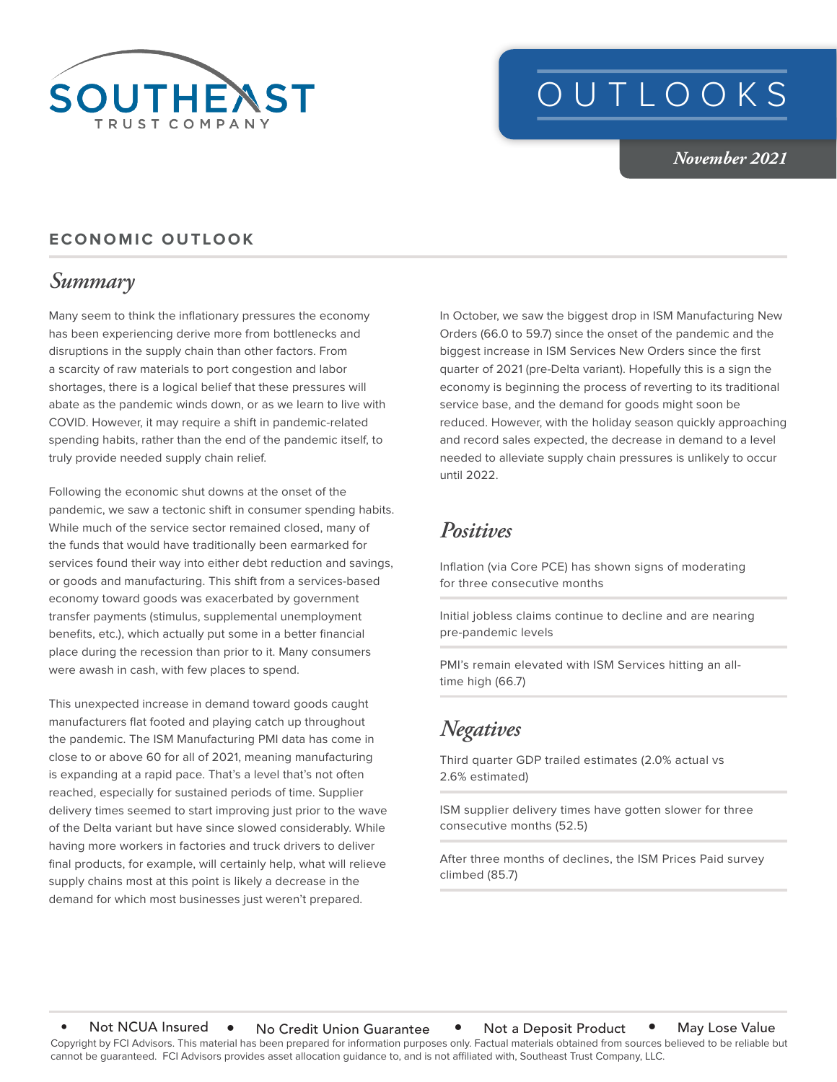

# OUTLOOKS

*November 2021*

#### **ECONOMIC OUTLOOK**

## *Summary*

Many seem to think the inflationary pressures the economy has been experiencing derive more from bottlenecks and disruptions in the supply chain than other factors. From a scarcity of raw materials to port congestion and labor shortages, there is a logical belief that these pressures will abate as the pandemic winds down, or as we learn to live with COVID. However, it may require a shift in pandemic-related spending habits, rather than the end of the pandemic itself, to truly provide needed supply chain relief.

Following the economic shut downs at the onset of the pandemic, we saw a tectonic shift in consumer spending habits. While much of the service sector remained closed, many of the funds that would have traditionally been earmarked for services found their way into either debt reduction and savings, or goods and manufacturing. This shift from a services-based economy toward goods was exacerbated by government transfer payments (stimulus, supplemental unemployment benefits, etc.), which actually put some in a better financial place during the recession than prior to it. Many consumers were awash in cash, with few places to spend.

This unexpected increase in demand toward goods caught manufacturers flat footed and playing catch up throughout the pandemic. The ISM Manufacturing PMI data has come in close to or above 60 for all of 2021, meaning manufacturing is expanding at a rapid pace. That's a level that's not often reached, especially for sustained periods of time. Supplier delivery times seemed to start improving just prior to the wave of the Delta variant but have since slowed considerably. While having more workers in factories and truck drivers to deliver final products, for example, will certainly help, what will relieve supply chains most at this point is likely a decrease in the demand for which most businesses just weren't prepared.

In October, we saw the biggest drop in ISM Manufacturing New Orders (66.0 to 59.7) since the onset of the pandemic and the biggest increase in ISM Services New Orders since the first quarter of 2021 (pre-Delta variant). Hopefully this is a sign the economy is beginning the process of reverting to its traditional service base, and the demand for goods might soon be reduced. However, with the holiday season quickly approaching and record sales expected, the decrease in demand to a level needed to alleviate supply chain pressures is unlikely to occur until 2022.

### *Positives*

Inflation (via Core PCE) has shown signs of moderating for three consecutive months

Initial jobless claims continue to decline and are nearing pre-pandemic levels

PMI's remain elevated with ISM Services hitting an alltime high (66.7)

# *Negatives*

Third quarter GDP trailed estimates (2.0% actual vs 2.6% estimated)

ISM supplier delivery times have gotten slower for three consecutive months (52.5)

After three months of declines, the ISM Prices Paid survey climbed (85.7)

Copyright by FCI Advisors. This material has been prepared for information purposes only. Factual materials obtained from sources believed to be reliable but cannot be guaranteed. FCI Advisors provides asset allocation guidance to, and is not affiliated with, Southeast Trust Company, LLC. Not NCUA Insured • No Credit Union Guarantee • Not a Deposit Product • May Lose Value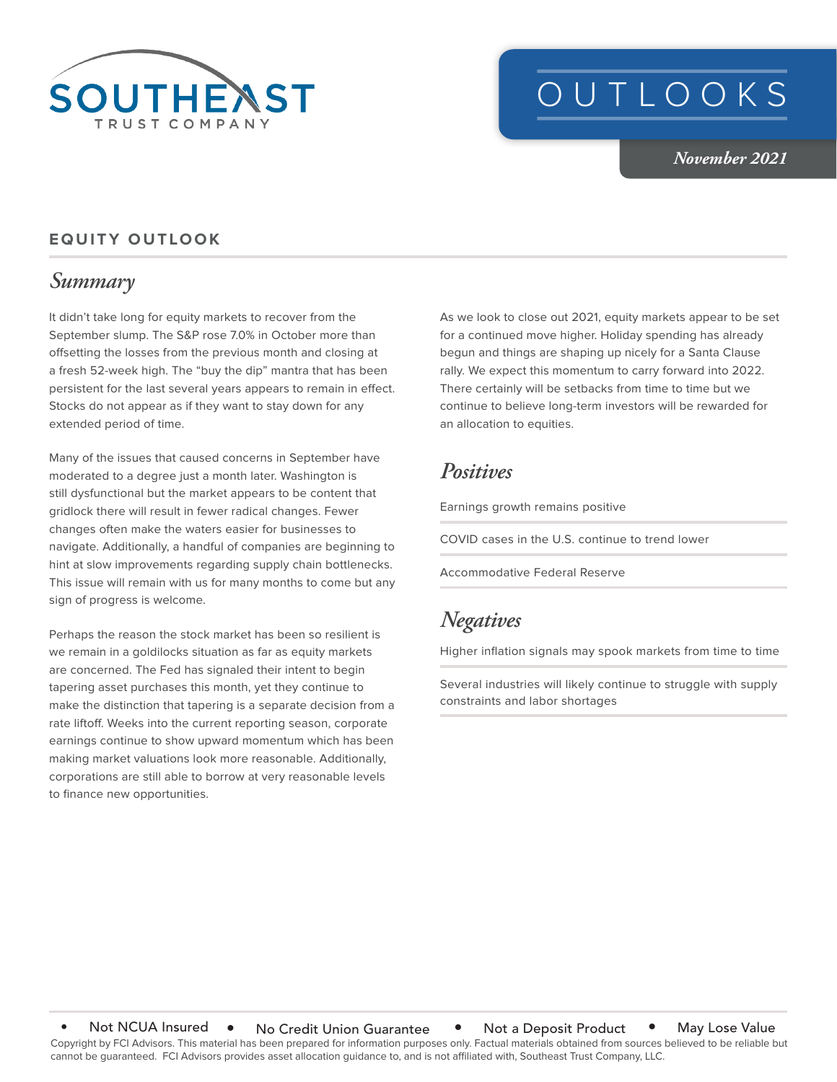

# OUTLOOKS

*November 2021*

#### **EQUITY OUTLOOK**

### *Summary*

It didn't take long for equity markets to recover from the September slump. The S&P rose 7.0% in October more than offsetting the losses from the previous month and closing at a fresh 52-week high. The "buy the dip" mantra that has been persistent for the last several years appears to remain in effect. Stocks do not appear as if they want to stay down for any extended period of time.

Many of the issues that caused concerns in September have moderated to a degree just a month later. Washington is still dysfunctional but the market appears to be content that gridlock there will result in fewer radical changes. Fewer changes often make the waters easier for businesses to navigate. Additionally, a handful of companies are beginning to hint at slow improvements regarding supply chain bottlenecks. This issue will remain with us for many months to come but any sign of progress is welcome.

Perhaps the reason the stock market has been so resilient is we remain in a goldilocks situation as far as equity markets are concerned. The Fed has signaled their intent to begin tapering asset purchases this month, yet they continue to make the distinction that tapering is a separate decision from a rate liftoff. Weeks into the current reporting season, corporate earnings continue to show upward momentum which has been making market valuations look more reasonable. Additionally, corporations are still able to borrow at very reasonable levels to finance new opportunities.

As we look to close out 2021, equity markets appear to be set for a continued move higher. Holiday spending has already begun and things are shaping up nicely for a Santa Clause rally. We expect this momentum to carry forward into 2022. There certainly will be setbacks from time to time but we continue to believe long-term investors will be rewarded for an allocation to equities.

#### *Positives*

Earnings growth remains positive

COVID cases in the U.S. continue to trend lower

Accommodative Federal Reserve

## *Negatives*

Higher inflation signals may spook markets from time to time

Several industries will likely continue to struggle with supply constraints and labor shortages

Copyright by FCI Advisors. This material has been prepared for information purposes only. Factual materials obtained from sources believed to be reliable but cannot be guaranteed. FCI Advisors provides asset allocation guidance to, and is not affiliated with, Southeast Trust Company, LLC. Not NCUA Insured • No Credit Union Guarantee • Not a Deposit Product • May Lose Value